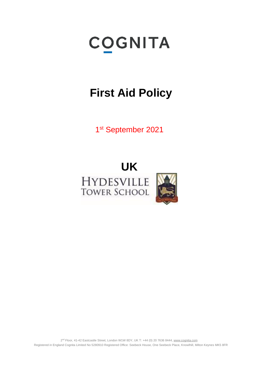# **COGNITA**

## **First Aid Policy**

1st September 2021

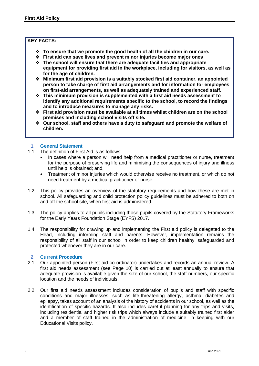#### **KEY FACTS:**

- ❖ **To ensure that we promote the good health of all the children in our care.**
- ❖ **First aid can save lives and prevent minor injuries become major ones**
- ❖ **The school will ensure that there are adequate facilities and appropriate equipment for providing first aid in the workplace, including for visitors, as well as for the age of children.**
- ❖ **Minimum first aid provision is a suitably stocked first aid container, an appointed person to take charge of first aid arrangements and for information for employees on first-aid arrangements, as well as adequately trained and experienced staff.**
- ❖ **This minimum provision is supplemented with a first aid needs assessment to identify any additional requirements specific to the school, to record the findings and to introduce measures to manage any risks.**
- ❖ **First aid provision must be available at all times whilst children are on the school premises and including school visits off site.**
- ❖ **Our school, staff and others have a duty to safeguard and promote the welfare of children.**

#### **1 General Statement**

- 1.1 The definition of First Aid is as follows:
	- In cases where a person will need help from a medical practitioner or nurse, treatment for the purpose of preserving life and minimising the consequences of injury and illness until help is obtained; and,
	- Treatment of minor injuries which would otherwise receive no treatment, or which do not need treatment by a medical practitioner or nurse.
- 1.2 This policy provides an overview of the statutory requirements and how these are met in school. All safeguarding and child protection policy guidelines must be adhered to both on and off the school site, when first aid is administered.
- 1.3 The policy applies to all pupils including those pupils covered by the Statutory Frameworks for the Early Years Foundation Stage (EYFS) 2017.
- 1.4 The responsibility for drawing up and implementing the First aid policy is delegated to the Head, including informing staff and parents. However, implementation remains the responsibility of all staff in our school in order to keep children healthy, safeguarded and protected whenever they are in our care.

#### **2 Current Procedure**

- 2.1 Our appointed person (First aid co-ordinator) undertakes and records an annual review. A first aid needs assessment (see Page 10) is carried out at least annually to ensure that adequate provision is available given the size of our school, the staff numbers, our specific location and the needs of individuals.
- 2.2 Our first aid needs assessment includes consideration of pupils and staff with specific conditions and major illnesses, such as life-threatening allergy, asthma, diabetes and epilepsy, takes account of an analysis of the history of accidents in our school, as well as the identification of specific hazards. It also includes careful planning for any trips and visits, including residential and higher risk trips which always include a suitably trained first aider and a member of staff trained in the administration of medicine, in keeping with our Educational Visits policy.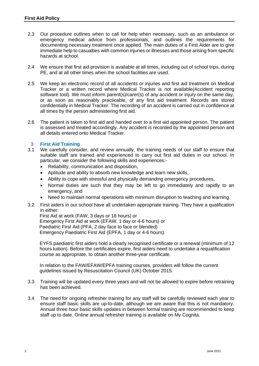- 2.3 Our procedure outlines when to call for help when necessary, such as an ambulance or emergency medical advice from professionals, and outlines the requirements for documenting necessary treatment once applied. The main duties of a First Aider are to give immediate help to casualties with common injuries or illnesses and those arising from specific hazards at school.
- 2.4 We ensure that first aid provision is available at all times, including out of school trips, during PE, and at all other times when the school facilities are used.
- 2.5 We keep an electronic record of all accidents or injuries and first aid treatment on Medical Tracker or a written record where Medical Tracker is not available(Accident reporting software tool). We must inform parent(s)/carer(s) of any accident or injury on the same day, or as soon as reasonably practicable, of any first aid treatment. Records are stored confidentially in Medical Tracker. The recording of an accident is carried out in confidence at all times by the person administering first aid.
- 2.6 The patient is taken to first aid and handed over to a first aid appointed person. The patient is assessed and treated accordingly. Any accident is recorded by the appointed person and all details entered onto Medical Tracker.

#### **3 First Aid Training**

- 3.1 We carefully consider, and review annually, the training needs of our staff to ensure that suitable staff are trained and experienced to carry out first aid duties in our school. In particular, we consider the following skills and experiences:-
	- Reliability, communication and disposition,
	- Aptitude and ability to absorb new knowledge and learn new skills,
	- Ability to cope with stressful and physically demanding emergency procedures,
	- Normal duties are such that they may be left to go immediately and rapidly to an emergency, and
	- Need to maintain normal operations with minimum disruption to teaching and learning.
- 3.2 First aiders in our school have all undertaken appropriate training. They have a qualification in either:

 First Aid at work (FAW, 3 days or 18 hours) or Emergency First Aid at work (EFAW, 1 day or 4-6 hours) or Paediatric First Aid (PFA, 2 day face to face or blended) Emergency Paediatric First Aid (EPFA, 1 day or 4-6 hours).

 EYFS paediatric first aiders hold a clearly recognised certificate or a renewal (minimum of 12 hours tuition). Before the certificates expire, first aiders need to undertake a requalification course as appropriate, to obtain another three-year certificate.

 In relation to the FAW/EFAW/EPFA training courses, providers will follow the current guidelines issued by Resuscitation Council (UK) October 2015.

- 3.3 Training will be updated every three years and will not be allowed to expire before retraining has been achieved.
- 3.4 The need for ongoing refresher training for any staff will be carefully reviewed each year to ensure staff basic skills are up-to-date, although we are aware that this is not mandatory. Annual three hour basic skills updates in between formal training are recommended to keep staff up to date. Online annual refresher training is available on My Cognita.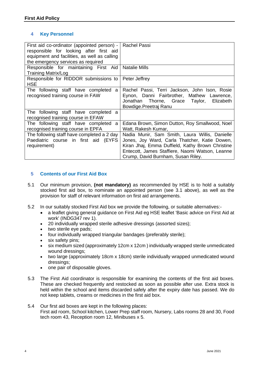#### **4 Key Personnel**

| First aid co-ordinator (appointed person) -<br>responsible for looking after first aid<br>equipment and facilities, as well as calling<br>the emergency services as required | Rachel Passi                                                                                                                                                                                                                                 |
|------------------------------------------------------------------------------------------------------------------------------------------------------------------------------|----------------------------------------------------------------------------------------------------------------------------------------------------------------------------------------------------------------------------------------------|
| Responsible for maintaining First Aid<br>Training Matrix/Log                                                                                                                 | <b>Natalie Mills</b>                                                                                                                                                                                                                         |
| Responsible for RIDDOR submissions to<br><b>HSE</b>                                                                                                                          | Peter Jeffrey                                                                                                                                                                                                                                |
| The following staff have completed<br>a<br>recognised training course in FAW                                                                                                 | Rachel Passi, Terri Jackson, John Ison, Rosie<br>Eynon, Danni Fairbrother, Mathew Lawrence,<br>Thorne, Grace Taylor, Elizabeth<br>Jonathan<br>Bowdige.Preetraj Ranu                                                                          |
| The following staff have completed a<br>recognised training course in EFAW                                                                                                   |                                                                                                                                                                                                                                              |
| The following staff have completed<br>a<br>recognised training course in EPFA                                                                                                | Edana Brown, Simon Dutton, Roy Smallwood, Noel<br>Watt, Rakesh Kumar,                                                                                                                                                                        |
| The following staff have completed a 2 day<br>Paediatric course in first aid (EYFS<br>requirement)                                                                           | Nadia Munir, Sam Smith, Laura Willis, Danielle<br>Jones, Joy Ward, Carla Thatcher, Katie Dowen,<br>Kiran Jhaj, Emma Duffield, Kathy Brown Christine<br>Entecott, James Staffiere, Naomi Watson, Leanne<br>Crump, David Burnham, Susan Riley. |

#### **5 Contents of our First Aid Box**

- 5.1 Our minimum provision, **(not mandatory)** as recommended by HSE is to hold a suitably stocked first aid box, to nominate an appointed person (see 3.1 above), as well as the provision for staff of relevant information on first aid arrangements.
- 5.2 In our suitably stocked First Aid box we provide the following, or suitable alternatives:-
	- a leaflet giving general guidance on First Aid eg HSE leaflet 'Basic advice on First Aid at work' (INDG347 rev 1).
	- 20 individually wrapped sterile adhesive dressings (assorted sizes);
	- two sterile eye pads;
	- four individually wrapped triangular bandages (preferably sterile);
	- six safety pins;
	- six medium sized (approximately 12cm x 12cm ) individually wrapped sterile unmedicated wound dressings;
	- two large (approximately 18cm x 18cm) sterile individually wrapped unmedicated wound dressings;
	- one pair of disposable gloves.
- 5.3 The First Aid coordinator is responsible for examining the contents of the first aid boxes. These are checked frequently and restocked as soon as possible after use. Extra stock is held within the school and items discarded safely after the expiry date has passed. We do not keep tablets, creams or medicines in the first aid box.
- 5.4 Our first aid boxes are kept in the following places: First aid room, School kitchen, Lower Prep staff room, Nursery, Labs rooms 28 and 30, Food tech room 43, Reception room 12, Minibuses x 5.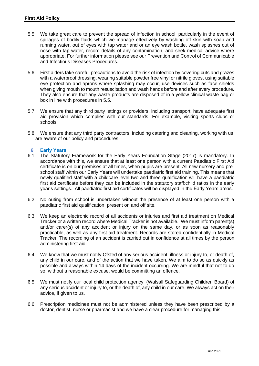- 5.5 We take great care to prevent the spread of infection in school, particularly in the event of spillages of bodily fluids which we manage effectively by washing off skin with soap and running water, out of eyes with tap water and or an eye wash bottle, wash splashes out of nose with tap water, record details of any contamination, and seek medical advice where appropriate. For further information please see our Prevention and Control of Communicable and Infectious Diseases Procedures.
- 5.6 First aiders take careful precautions to avoid the risk of infection by covering cuts and grazes with a waterproof dressing, wearing suitable powder free vinyl or nitrile gloves, using suitable eye protection and aprons where splashing may occur, use devices such as face shields when giving mouth to mouth resuscitation and wash hands before and after every procedure. They also ensure that any waste products are disposed of in a yellow clinical waste bag or box in line with procedures in 5.5.
- 5.7 We ensure that any third party lettings or providers, including transport, have adequate first aid provision which complies with our standards. For example, visiting sports clubs or schools.
- 5.8 We ensure that any third party contractors, including catering and cleaning, working with us are aware of our policy and procedures.

#### **6 Early Years**

- 6.1 The Statutory Framework for the Early Years Foundation Stage (2017) is mandatory. In accordance with this, we ensure that at least one person with a current Paediatric First Aid certificate is on our premises at all times, when pupils are present. All new nursery and preschool staff within our Early Years will undertake paediatric first aid training. This means that newly qualified staff with a childcare level two and three qualification will have a paediatric first aid certificate before they can be included in the statutory staff:child ratios in the early year's settings. All paediatric first aid certificates will be displayed in the Early Years areas.
- 6.2 No outing from school is undertaken without the presence of at least one person with a paediatric first aid qualification, present on and off site.
- 6.3 We keep an electronic record of all accidents or injuries and first aid treatment on Medical Tracker or a written record where Medical Tracker is not available. We must inform parent(s) and/or carer(s) of any accident or injury on the same day, or as soon as reasonably practicable, as well as any first aid treatment. Records are stored confidentially in Medical Tracker. The recording of an accident is carried out in confidence at all times by the person administering first aid.
- 6.4 We know that we must notify Ofsted of any serious accident, illness or injury to, or death of, any child in our care, and of the action that we have taken. We aim to do so as quickly as possible and always within 14 days of the incident occurring. We are mindful that not to do so, without a reasonable excuse, would be committing an offence.
- 6.5 We must notify our local child protection agency, (Walsall Safeguarding Children Board) of any serious accident or injury to, or the death of, any child in our care. We always act on their advice, if given to us.
- 6.6 Prescription medicines must not be administered unless they have been prescribed by a doctor, dentist, nurse or pharmacist and we have a clear procedure for managing this.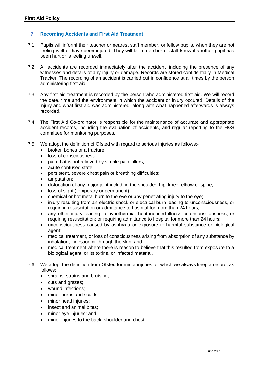#### **7 Recording Accidents and First Aid Treatment**

- 7.1 Pupils will informl their teacher or nearest staff member, or fellow pupils, when they are not feeling well or have been injured. They will let a member of staff know if another pupil has been hurt or is feeling unwell.
- 7.2 All accidents are recorded immediately after the accident, including the presence of any witnesses and details of any injury or damage. Records are stored confidentially in Medical Tracker. The recording of an accident is carried out in confidence at all times by the person administering first aid.
- 7.3 Any first aid treatment is recorded by the person who administered first aid. We will record the date, time and the environment in which the accident or injury occured. Details of the injury and what first aid was administered, along with what happened afterwards is always recorded.
- 7.4 The First Aid Co-ordinator is responsible for the maintenance of accurate and appropriate accident records, including the evaluation of accidents, and regular reporting to the H&S committee for monitoring purposes.
- 7.5 We adopt the definition of Ofsted with regard to serious injuries as follows:-
	- broken bones or a fracture
	- loss of consciousness
	- pain that is not relieved by simple pain killers;
	- acute confused state;
	- persistent, severe chest pain or breathing difficulties;
	- amputation;
	- dislocation of any major joint including the shoulder, hip, knee, elbow or spine;
	- loss of sight (temporary or permanent);
	- chemical or hot metal burn to the eye or any penetrating injury to the eye;
	- injury resulting from an electric shock or electrical burn leading to unconsciousness, or requiring resuscitation or admittance to hospital for more than 24 hours;
	- any other injury leading to hypothermia, heat-induced illness or unconsciousness; or requiring resuscitation; or requiring admittance to hospital for more than 24 hours;
	- unconsciousness caused by asphyxia or exposure to harmful substance or biological agent;
	- medical treatment, or loss of consciousness arising from absorption of any substance by inhalation, ingestion or through the skin; and
	- medical treatment where there is reason to believe that this resulted from exposure to a biological agent, or its toxins, or infected material.
- 7.6 We adopt the definition from Ofsted for minor injuries, of which we always keep a record, as follows:
	- sprains, strains and bruising;
	- cuts and grazes;
	- wound infections;
	- minor burns and scalds:
	- minor head injuries;
	- insect and animal bites:
	- minor eye injuries; and
	- minor injuries to the back, shoulder and chest.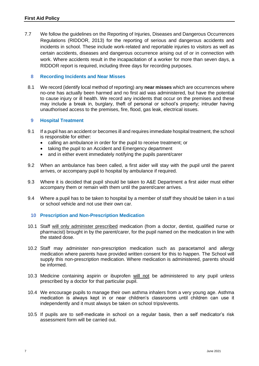7.7 We follow the guidelines on the Reporting of Injuries, Diseases and Dangerous Occurrences Regulations (RIDDOR, 2013) for the reporting of serious and dangerous accidents and incidents in school. These include work-related and reportable injuries to visitors as well as certain accidents, diseases and dangerous occurrence arising out of or in connection with work. Where accidents result in the incapacitation of a worker for more than seven days, a RIDDOR report is required, including three days for recording purposes.

#### **8 Recording Incidents and Near Misses**

8.1 We record (identify local method of reporting) any **near misses** which are occurrences where no-one has actually been harmed and no first aid was administered, but have the potential to cause injury or ill health. We record any incidents that occur on the premises and these may include a break in, burglary, theft of personal or school's property; intruder having unauthorised access to the premises, fire, flood, gas leak, electrical issues.

#### **9 Hospital Treatment**

- 9.1 If a pupil has an accident or becomes ill and requires immediate hospital treatment, the school is responsible for either:
	- calling an ambulance in order for the pupil to receive treatment; or
	- taking the pupil to an Accident and Emergency department
	- and in either event immediately notifying the pupils parent/carer
- 9.2 When an ambulance has been called, a first aider will stay with the pupil until the parent arrives, or accompany pupil to hospital by ambulance if required.
- 9.3 Where it is decided that pupil should be taken to A&E Department a first aider must either accompany them or remain with them until the parent/carer arrives.
- 9.4 Where a pupil has to be taken to hospital by a member of staff they should be taken in a taxi or school vehicle and not use their own car.

#### **10 Prescription and Non-Prescription Medication**

- 10.1 Staff will only administer prescribed medication (from a doctor, dentist, qualified nurse or pharmacist) brought in by the parent/carer, for the pupil named on the medication in line with the stated dose.
- 10.2 Staff may administer non-prescription medication such as paracetamol and allergy medication where parents have provided written consent for this to happen. The School will supply this non-prescription medication. Where medication is administered, parents should be informed.
- 10.3 Medicine containing aspirin or ibuprofen will not be administered to any pupil unless prescribed by a doctor for that particular pupil.
- 10.4 We encourage pupils to manage their own asthma inhalers from a very young age. Asthma medication is always kept in or near children's classrooms until children can use it independently and it must always be taken on school trips/events.
- 10.5 If pupils are to self-medicate in school on a regular basis, then a self medicator's risk assessment form will be carried out.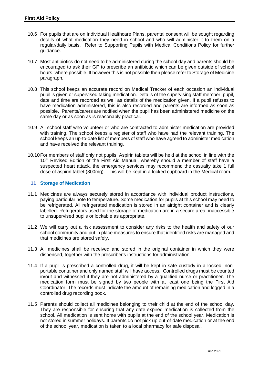- 10.6 For pupils that are on Individual Healthcare Plans, parental consent will be sought regarding details of what medication they need in school and who will administer it to them on a regular/daily basis. Refer to Supporting Pupils with Medical Conditions Policy for further guidance.
- 10.7 Most antibiotics do not need to be administered during the school day and parents should be encouraged to ask their GP to prescribe an antibiotic which can be given outside of school hours, where possible. If however this is not possible then please refer to Storage of Medicine paragraph.
- 10.8 This school keeps an accurate record on Medical Tracker of each occasion an individual pupil is given or supervised taking medication. Details of the supervising staff member, pupil, date and time are recorded as well as details of the medication given. If a pupil refuses to have medication administered, this is also recorded and parents are informed as soon as possible. Parents/carers are notified when the pupil has been administered medicine on the same day or as soon as is reasonably practical.
- 10.9 All school staff who volunteer or who are contracted to administer medication are provided with training. The school keeps a register of staff who have had the relevant training. The school keeps an up-to-date list of members of staff who have agreed to administer medication and have received the relevant training.
- 10.10For members of staff only not pupils, Aspirin tablets will be held at the school in line with the 10<sup>th</sup> Revised Edition of the First Aid Manual, whereby should a member of staff have a suspected heart attack, the emergency services may recommend the casualty take 1 full dose of aspirin tablet (300mg). This will be kept in a locked cupboard in the Medical room.

#### **11 Storage of Medication**

- 11.1 Medicines are always securely stored in accordance with individual product instructions, paying particular note to temperature. Some medication for pupils at this school may need to be refrigerated. All refrigerated medication is stored in an airtight container and is clearly labelled. Refrigerators used for the storage of medication are in a secure area, inaccessible to unsupervised pupils or lockable as appropriate.
- 11.2 We will carry out a risk assessment to consider any risks to the health and safety of our school community and put in place measures to ensure that identified risks are managed and that medicines are stored safely.
- 11.3 All medicines shall be received and stored in the original container in which they were dispensed, together with the prescriber's instructions for administration.
- 11.4 If a pupil is prescribed a controlled drug, it will be kept in safe custody in a locked, nonportable container and only named staff will have access. Controlled drugs must be counted in/out and witnessed if they are not administered by a qualified nurse or practitioner. The medication form must be signed by two people with at least one being the First Aid Coordinator. The records must indicate the amount of remaining medication and logged in a controlled drug recording book.
- 11.5 Parents should collect all medicines belonging to their child at the end of the school day. They are responsible for ensuring that any date-expired medication is collected from the school. All medication is sent home with pupils at the end of the school year. Medication is not stored in summer holidays. If parents do not pick up out-of-date medication or at the end of the school year, medication is taken to a local pharmacy for safe disposal.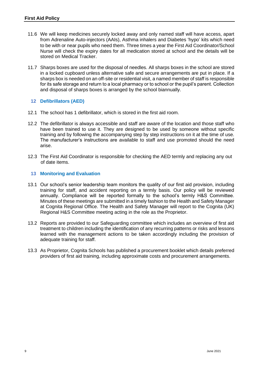- 11.6 We will keep medicines securely locked away and only named staff will have access, apart from Adrenaline Auto-injectors (AAIs), Asthma inhalers and Diabetes 'hypo' kits which need to be with or near pupils who need them. Three times a year the First Aid Coordinator/School Nurse will check the expiry dates for all medication stored at school and the details will be stored on Medical Tracker.
- 11.7 Sharps boxes are used for the disposal of needles. All sharps boxes in the school are stored in a locked cupboard unless alternative safe and secure arrangements are put in place. If a sharps box is needed on an off-site or residential visit, a named member of staff is responsible for its safe storage and return to a local pharmacy or to school or the pupil's parent. Collection and disposal of sharps boxes is arranged by the school biannually.

#### **12 Defibrillators (AED)**

- 12.1 The school has 1 defibrillator, which is stored in the first aid room.
- 12.2 The defibrillator is always accessible and staff are aware of the location and those staff who have been trained to use it. They are designed to be used by someone without specific training and by following the accompanying step by step instructions on it at the time of use. The manufacturer's instructions are available to staff and use promoted should the need arise.
- 12.3 The First Aid Coordinator is responsible for checking the AED termly and replacing any out of date items.

#### **13 Monitoring and Evaluation**

- 13.1 Our school's senior leadership team monitors the quality of our first aid provision, including training for staff, and accident reporting on a termly basis. Our policy will be reviewed annually. Compliance will be reported formally to the school's termly H&S Committee. Minutes of these meetings are submitted in a timely fashion to the Health and Safety Manager at Cognita Regional Office. The Health and Safety Manager will report to the Cognita (UK) Regional H&S Committee meeting acting in the role as the Proprietor.
- 13.2 Reports are provided to our Safeguarding committee which includes an overview of first aid treatment to children including the identification of any recurring patterns or risks and lessons learned with the management actions to be taken accordingly including the provision of adequate training for staff.
- 13.3 As Proprietor, Cognita Schools has published a procurement booklet which details preferred providers of first aid training, including approximate costs and procurement arrangements.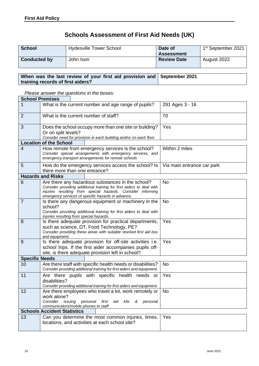### **Schools Assessment of First Aid Needs (UK)**

| <b>School</b>       | <b>Hydesville Tower School</b> | Date of            | 1 <sup>st</sup> September 2021 |
|---------------------|--------------------------------|--------------------|--------------------------------|
|                     |                                | <b>Assessment</b>  |                                |
| <b>Conducted by</b> | John Ison                      | <b>Review Date</b> | August 2022                    |

#### **When was the last review of your first aid provision and training records of first aiders? September 2021**

*Please answer the questions in the boxes:*

| <b>School Premises</b> |                                                                                                                                                                                                                                                |                            |
|------------------------|------------------------------------------------------------------------------------------------------------------------------------------------------------------------------------------------------------------------------------------------|----------------------------|
|                        | What is the current number and age range of pupils?                                                                                                                                                                                            | 291 Ages 3 - 16            |
| $\overline{2}$         | What is the current number of staff?                                                                                                                                                                                                           | 70                         |
| 3                      | Does the school occupy more than one site or building?<br>Or on split levels?<br>Consider need for provision in each building and/or on each floor                                                                                             | Yes                        |
|                        | <b>Location of the School</b>                                                                                                                                                                                                                  |                            |
| 4                      | How remote from emergency services is the school?<br>Consider special arrangements with emergency services, and<br>emergency transport arrangements for remote schools                                                                         | Within 2 miles             |
| 5                      | How do the emergency services access the school? Is<br>there more than one entrance?                                                                                                                                                           | Via main entrance car park |
|                        | <b>Hazards and Risks</b>                                                                                                                                                                                                                       |                            |
| 6                      | Are there any hazardous substances in the school?<br>Consider providing additional training for first aiders to deal with<br>injuries resulting from special hazards. Consider informing<br>emergency services of specific hazards in advance. | <b>No</b>                  |
| $\overline{7}$         | Is there any dangerous equipment or machinery in the<br>school?<br>Consider providing additional training for first aiders to deal with<br>injuries resulting from special hazards.                                                            | <b>No</b>                  |
| 8                      | Is there adequate provision for practical departments,<br>such as science, DT, Food Technology, PE?<br>Consider providing these areas with suitable stocked first aid box<br>and equipment.                                                    | Yes                        |
| 9                      | Is there adequate provision for off-site activities i.e.<br>school trips. If the first aider accompanies pupils off-<br>site, is there adequate provision left in school?                                                                      | Yes                        |
| <b>Specific Needs</b>  |                                                                                                                                                                                                                                                |                            |
| 10                     | Are there staff with specific health needs or disabilities?<br>Consider providing additional training for first aiders and equipment.                                                                                                          | <b>No</b>                  |
| 11                     | Are there pupils with specific health needs or<br>disabilities?<br>Consider providing additional training for first aiders and equipment.                                                                                                      | Yes                        |
| 12                     | Are there employees who travel a lot, work remotely or  <br>work alone?<br>Consider issuing personal first<br>aid<br>kits<br>&<br>personal<br>communicators/mobile phones to staff                                                             | No                         |
|                        | <b>Schools Accident Statistics</b>                                                                                                                                                                                                             |                            |
| 13                     | Can you determine the most common injuries, times,<br>locations, and activities at each school site?                                                                                                                                           | Yes                        |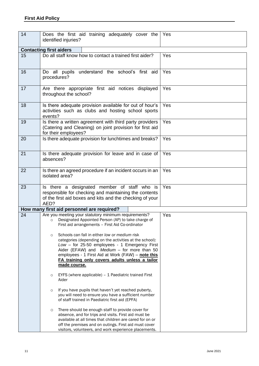| 14 | Does the first aid training adequately cover the<br>identified injuries?                                                                                                                                                                                                                                                                                                                                                                                                                                   | Yes |
|----|------------------------------------------------------------------------------------------------------------------------------------------------------------------------------------------------------------------------------------------------------------------------------------------------------------------------------------------------------------------------------------------------------------------------------------------------------------------------------------------------------------|-----|
|    | <b>Contacting first aiders</b>                                                                                                                                                                                                                                                                                                                                                                                                                                                                             |     |
| 15 | Do all staff know how to contact a trained first aider?                                                                                                                                                                                                                                                                                                                                                                                                                                                    | Yes |
| 16 | Do all pupils understand the school's first aid<br>procedures?                                                                                                                                                                                                                                                                                                                                                                                                                                             | Yes |
| 17 | Are there appropriate first aid notices displayed<br>throughout the school?                                                                                                                                                                                                                                                                                                                                                                                                                                | Yes |
| 18 | Is there adequate provision available for out of hour's<br>activities such as clubs and hosting school sports<br>events?                                                                                                                                                                                                                                                                                                                                                                                   | Yes |
| 19 | Is there a written agreement with third party providers<br>(Catering and Cleaning) on joint provision for first aid<br>for their employees?                                                                                                                                                                                                                                                                                                                                                                | Yes |
| 20 | Is there adequate provision for lunchtimes and breaks?                                                                                                                                                                                                                                                                                                                                                                                                                                                     | Yes |
| 21 | Is there adequate provision for leave and in case of<br>absences?                                                                                                                                                                                                                                                                                                                                                                                                                                          | Yes |
| 22 | Is there an agreed procedure if an incident occurs in an<br>Yes<br>isolated area?                                                                                                                                                                                                                                                                                                                                                                                                                          |     |
| 23 | Is there a designated member of staff who is<br>responsible for checking and maintaining the contents<br>of the first aid boxes and kits and the checking of your<br>AED?                                                                                                                                                                                                                                                                                                                                  | Yes |
|    | How many first aid personnel are required?                                                                                                                                                                                                                                                                                                                                                                                                                                                                 |     |
| 24 | Are you meeting your statutory minimum requirements?<br>Designated Appointed Person (AP) to take charge of<br>First aid arrangements - First Aid Co-ordinator<br>Schools can fall in either low or medium risk<br>$\circ$<br>categories (depending on the activities at the school):<br>Low - for 25-50 employees - 1 Emergency First<br>Aider (EFAW) and Medium - for more than 50<br>employees - 1 First Aid at Work (FAW) - note this<br>FA training only covers adults unless a tailor<br>made course. | Yes |
|    | EYFS (where applicable) - 1 Paediatric trained First<br>$\circ$<br>Aider                                                                                                                                                                                                                                                                                                                                                                                                                                   |     |
|    | If you have pupils that haven't yet reached puberty,<br>$\circ$<br>you will need to ensure you have a sufficient number<br>of staff trained in Paediatric first aid (EPFA)                                                                                                                                                                                                                                                                                                                                 |     |
|    | There should be enough staff to provide cover for<br>$\circ$<br>absence, and for trips and visits. First aid must be<br>available at all times that children are cared for on or<br>off the premises and on outings. First aid must cover<br>visitors, volunteers, and work experience placements.                                                                                                                                                                                                         |     |